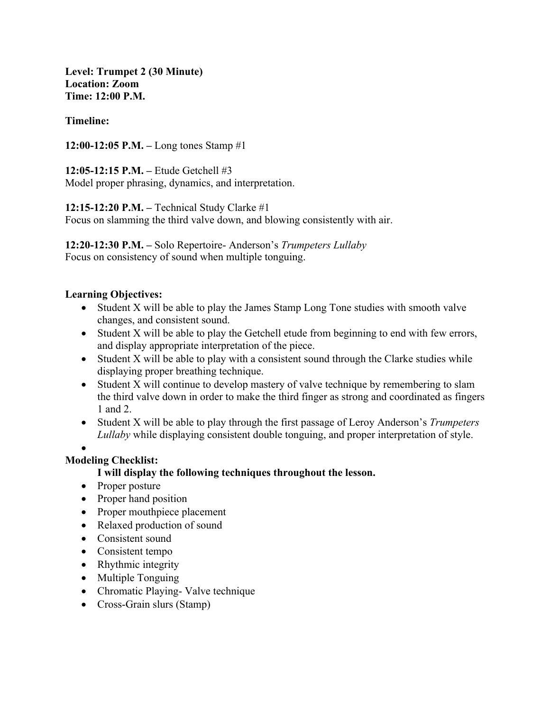**Level: Trumpet 2 (30 Minute) Location: Zoom Time: 12:00 P.M.**

#### **Timeline:**

**12:00-12:05 P.M. –** Long tones Stamp #1

**12:05-12:15 P.M. –** Etude Getchell #3 Model proper phrasing, dynamics, and interpretation.

**12:15-12:20 P.M. –** Technical Study Clarke #1

Focus on slamming the third valve down, and blowing consistently with air.

**12:20-12:30 P.M. –** Solo Repertoire- Anderson's *Trumpeters Lullaby* Focus on consistency of sound when multiple tonguing.

#### **Learning Objectives:**

- Student X will be able to play the James Stamp Long Tone studies with smooth valve changes, and consistent sound.
- Student X will be able to play the Getchell etude from beginning to end with few errors, and display appropriate interpretation of the piece.
- Student X will be able to play with a consistent sound through the Clarke studies while displaying proper breathing technique.
- Student X will continue to develop mastery of valve technique by remembering to slam the third valve down in order to make the third finger as strong and coordinated as fingers 1 and 2.
- Student X will be able to play through the first passage of Leroy Anderson's *Trumpeters Lullaby* while displaying consistent double tonguing, and proper interpretation of style.
- •

## **Modeling Checklist:**

## **I will display the following techniques throughout the lesson.**

- Proper posture
- Proper hand position
- Proper mouthpiece placement
- Relaxed production of sound
- Consistent sound
- Consistent tempo
- Rhythmic integrity
- Multiple Tonguing
- Chromatic Playing- Valve technique
- Cross-Grain slurs (Stamp)